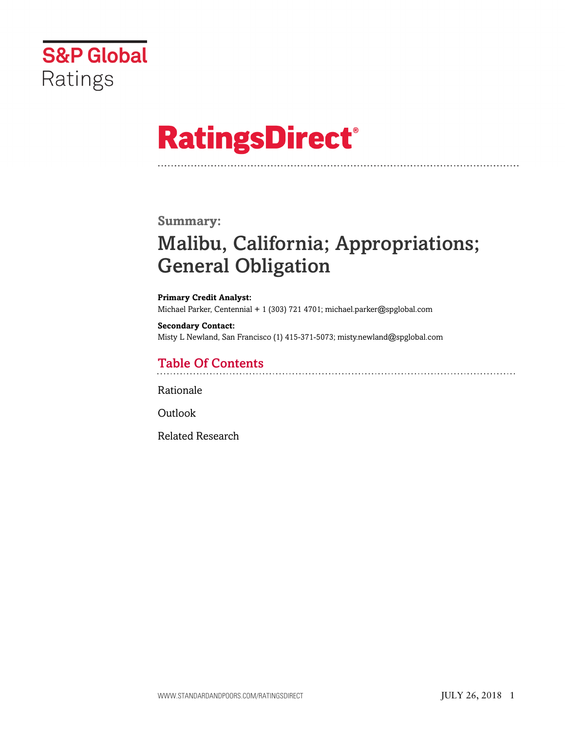

# **RatingsDirect®**

### **Summary:**

# Malibu, California; Appropriations; General Obligation

#### **Primary Credit Analyst:** Michael Parker, Centennial + 1 (303) 721 4701; michael.parker@spglobal.com

**Secondary Contact:** Misty L Newland, San Francisco (1) 415-371-5073; misty.newland@spglobal.com

## Table Of Contents

[Rationale](#page-1-0)

[Outlook](#page-5-0)

[Related Research](#page-5-1)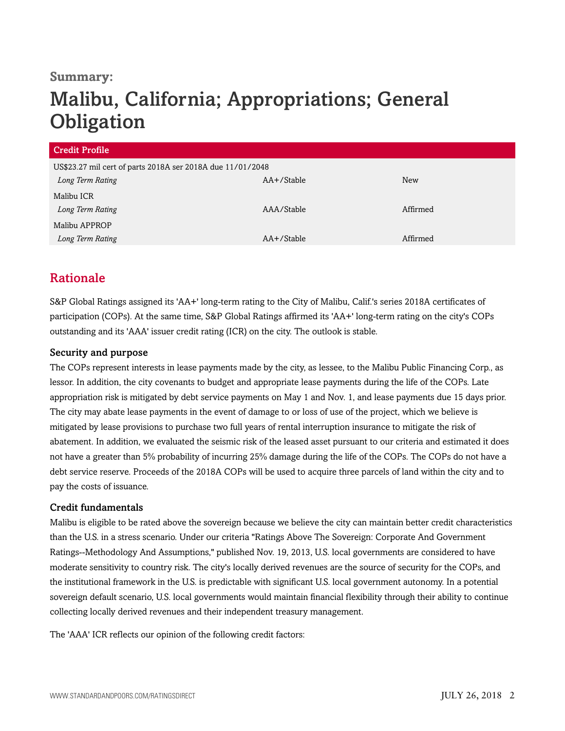### **Summary:**

# Malibu, California; Appropriations; General **Obligation**

| <b>Credit Profile</b>                                      |            |            |  |  |
|------------------------------------------------------------|------------|------------|--|--|
| US\$23.27 mil cert of parts 2018A ser 2018A due 11/01/2048 |            |            |  |  |
| Long Term Rating                                           | AA+/Stable | <b>New</b> |  |  |
| Malibu ICR                                                 |            |            |  |  |
| Long Term Rating                                           | AAA/Stable | Affirmed   |  |  |
| Malibu APPROP                                              |            |            |  |  |
| Long Term Rating                                           | AA+/Stable | Affirmed   |  |  |

# <span id="page-1-0"></span>Rationale

S&P Global Ratings assigned its 'AA+' long-term rating to the City of Malibu, Calif.'s series 2018A certificates of participation (COPs). At the same time, S&P Global Ratings affirmed its 'AA+' long-term rating on the city's COPs outstanding and its 'AAA' issuer credit rating (ICR) on the city. The outlook is stable.

#### Security and purpose

The COPs represent interests in lease payments made by the city, as lessee, to the Malibu Public Financing Corp., as lessor. In addition, the city covenants to budget and appropriate lease payments during the life of the COPs. Late appropriation risk is mitigated by debt service payments on May 1 and Nov. 1, and lease payments due 15 days prior. The city may abate lease payments in the event of damage to or loss of use of the project, which we believe is mitigated by lease provisions to purchase two full years of rental interruption insurance to mitigate the risk of abatement. In addition, we evaluated the seismic risk of the leased asset pursuant to our criteria and estimated it does not have a greater than 5% probability of incurring 25% damage during the life of the COPs. The COPs do not have a debt service reserve. Proceeds of the 2018A COPs will be used to acquire three parcels of land within the city and to pay the costs of issuance.

#### Credit fundamentals

Malibu is eligible to be rated above the sovereign because we believe the city can maintain better credit characteristics than the U.S. in a stress scenario. Under our criteria "Ratings Above The Sovereign: Corporate And Government Ratings--Methodology And Assumptions," published Nov. 19, 2013, U.S. local governments are considered to have moderate sensitivity to country risk. The city's locally derived revenues are the source of security for the COPs, and the institutional framework in the U.S. is predictable with significant U.S. local government autonomy. In a potential sovereign default scenario, U.S. local governments would maintain financial flexibility through their ability to continue collecting locally derived revenues and their independent treasury management.

The 'AAA' ICR reflects our opinion of the following credit factors: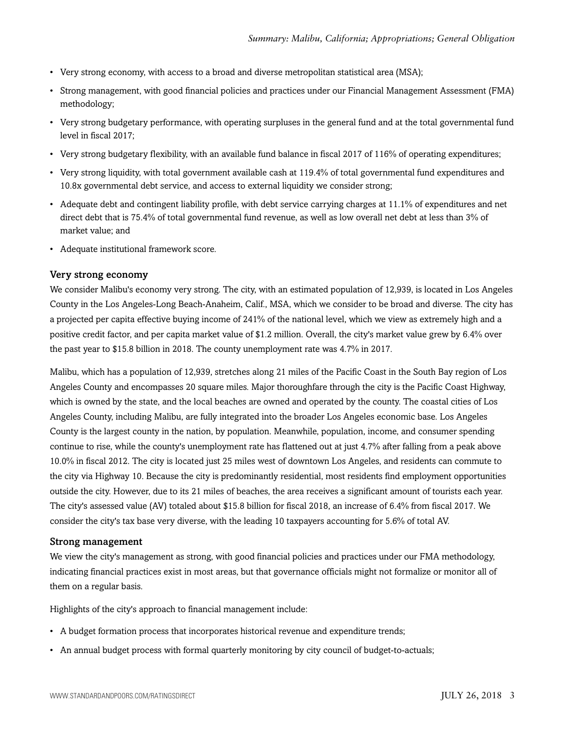- Very strong economy, with access to a broad and diverse metropolitan statistical area (MSA);
- Strong management, with good financial policies and practices under our Financial Management Assessment (FMA) methodology;
- Very strong budgetary performance, with operating surpluses in the general fund and at the total governmental fund level in fiscal 2017;
- Very strong budgetary flexibility, with an available fund balance in fiscal 2017 of 116% of operating expenditures;
- Very strong liquidity, with total government available cash at 119.4% of total governmental fund expenditures and 10.8x governmental debt service, and access to external liquidity we consider strong;
- Adequate debt and contingent liability profile, with debt service carrying charges at 11.1% of expenditures and net direct debt that is 75.4% of total governmental fund revenue, as well as low overall net debt at less than 3% of market value; and
- Adequate institutional framework score.

#### Very strong economy

We consider Malibu's economy very strong. The city, with an estimated population of 12,939, is located in Los Angeles County in the Los Angeles-Long Beach-Anaheim, Calif., MSA, which we consider to be broad and diverse. The city has a projected per capita effective buying income of 241% of the national level, which we view as extremely high and a positive credit factor, and per capita market value of \$1.2 million. Overall, the city's market value grew by 6.4% over the past year to \$15.8 billion in 2018. The county unemployment rate was 4.7% in 2017.

Malibu, which has a population of 12,939, stretches along 21 miles of the Pacific Coast in the South Bay region of Los Angeles County and encompasses 20 square miles. Major thoroughfare through the city is the Pacific Coast Highway, which is owned by the state, and the local beaches are owned and operated by the county. The coastal cities of Los Angeles County, including Malibu, are fully integrated into the broader Los Angeles economic base. Los Angeles County is the largest county in the nation, by population. Meanwhile, population, income, and consumer spending continue to rise, while the county's unemployment rate has flattened out at just 4.7% after falling from a peak above 10.0% in fiscal 2012. The city is located just 25 miles west of downtown Los Angeles, and residents can commute to the city via Highway 10. Because the city is predominantly residential, most residents find employment opportunities outside the city. However, due to its 21 miles of beaches, the area receives a significant amount of tourists each year. The city's assessed value (AV) totaled about \$15.8 billion for fiscal 2018, an increase of 6.4% from fiscal 2017. We consider the city's tax base very diverse, with the leading 10 taxpayers accounting for 5.6% of total AV.

#### Strong management

We view the city's management as strong, with good financial policies and practices under our FMA methodology, indicating financial practices exist in most areas, but that governance officials might not formalize or monitor all of them on a regular basis.

Highlights of the city's approach to financial management include:

- A budget formation process that incorporates historical revenue and expenditure trends;
- An annual budget process with formal quarterly monitoring by city council of budget-to-actuals;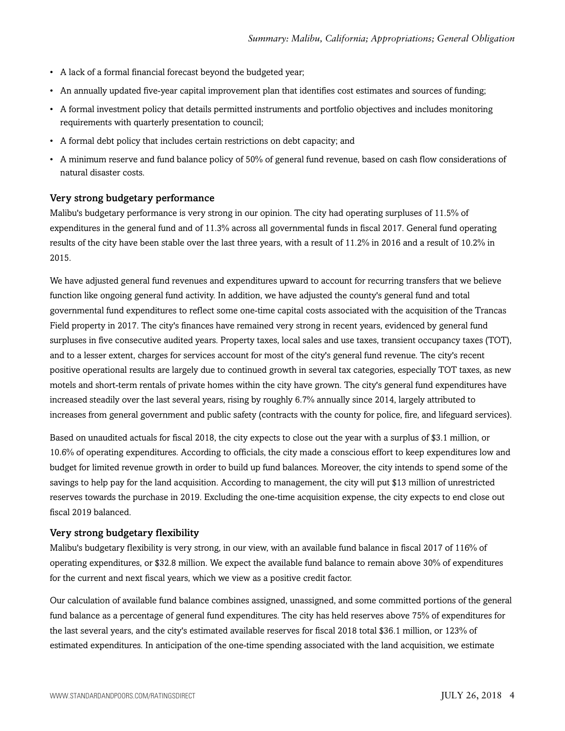- A lack of a formal financial forecast beyond the budgeted year;
- An annually updated five-year capital improvement plan that identifies cost estimates and sources of funding;
- A formal investment policy that details permitted instruments and portfolio objectives and includes monitoring requirements with quarterly presentation to council;
- A formal debt policy that includes certain restrictions on debt capacity; and
- A minimum reserve and fund balance policy of 50% of general fund revenue, based on cash flow considerations of natural disaster costs.

#### Very strong budgetary performance

Malibu's budgetary performance is very strong in our opinion. The city had operating surpluses of 11.5% of expenditures in the general fund and of 11.3% across all governmental funds in fiscal 2017. General fund operating results of the city have been stable over the last three years, with a result of 11.2% in 2016 and a result of 10.2% in 2015.

We have adjusted general fund revenues and expenditures upward to account for recurring transfers that we believe function like ongoing general fund activity. In addition, we have adjusted the county's general fund and total governmental fund expenditures to reflect some one-time capital costs associated with the acquisition of the Trancas Field property in 2017. The city's finances have remained very strong in recent years, evidenced by general fund surpluses in five consecutive audited years. Property taxes, local sales and use taxes, transient occupancy taxes (TOT), and to a lesser extent, charges for services account for most of the city's general fund revenue. The city's recent positive operational results are largely due to continued growth in several tax categories, especially TOT taxes, as new motels and short-term rentals of private homes within the city have grown. The city's general fund expenditures have increased steadily over the last several years, rising by roughly 6.7% annually since 2014, largely attributed to increases from general government and public safety (contracts with the county for police, fire, and lifeguard services).

Based on unaudited actuals for fiscal 2018, the city expects to close out the year with a surplus of \$3.1 million, or 10.6% of operating expenditures. According to officials, the city made a conscious effort to keep expenditures low and budget for limited revenue growth in order to build up fund balances. Moreover, the city intends to spend some of the savings to help pay for the land acquisition. According to management, the city will put \$13 million of unrestricted reserves towards the purchase in 2019. Excluding the one-time acquisition expense, the city expects to end close out fiscal 2019 balanced.

#### Very strong budgetary flexibility

Malibu's budgetary flexibility is very strong, in our view, with an available fund balance in fiscal 2017 of 116% of operating expenditures, or \$32.8 million. We expect the available fund balance to remain above 30% of expenditures for the current and next fiscal years, which we view as a positive credit factor.

Our calculation of available fund balance combines assigned, unassigned, and some committed portions of the general fund balance as a percentage of general fund expenditures. The city has held reserves above 75% of expenditures for the last several years, and the city's estimated available reserves for fiscal 2018 total \$36.1 million, or 123% of estimated expenditures. In anticipation of the one-time spending associated with the land acquisition, we estimate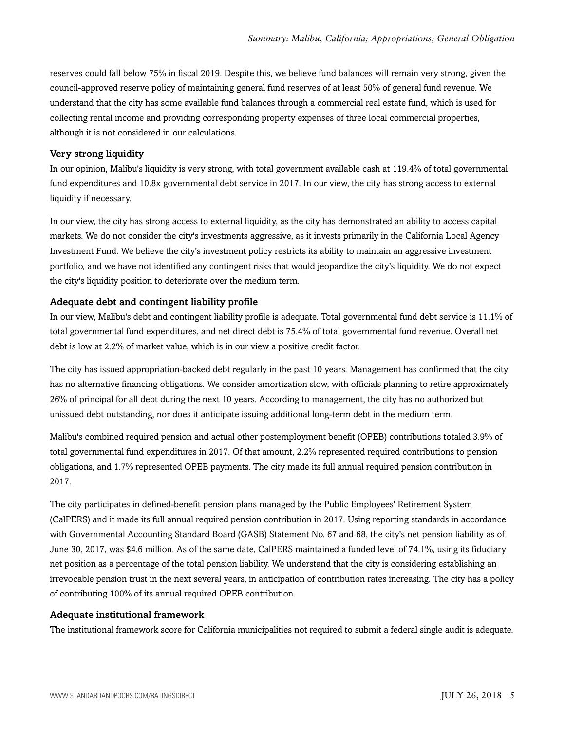reserves could fall below 75% in fiscal 2019. Despite this, we believe fund balances will remain very strong, given the council-approved reserve policy of maintaining general fund reserves of at least 50% of general fund revenue. We understand that the city has some available fund balances through a commercial real estate fund, which is used for collecting rental income and providing corresponding property expenses of three local commercial properties, although it is not considered in our calculations.

#### Very strong liquidity

In our opinion, Malibu's liquidity is very strong, with total government available cash at 119.4% of total governmental fund expenditures and 10.8x governmental debt service in 2017. In our view, the city has strong access to external liquidity if necessary.

In our view, the city has strong access to external liquidity, as the city has demonstrated an ability to access capital markets. We do not consider the city's investments aggressive, as it invests primarily in the California Local Agency Investment Fund. We believe the city's investment policy restricts its ability to maintain an aggressive investment portfolio, and we have not identified any contingent risks that would jeopardize the city's liquidity. We do not expect the city's liquidity position to deteriorate over the medium term.

#### Adequate debt and contingent liability profile

In our view, Malibu's debt and contingent liability profile is adequate. Total governmental fund debt service is 11.1% of total governmental fund expenditures, and net direct debt is 75.4% of total governmental fund revenue. Overall net debt is low at 2.2% of market value, which is in our view a positive credit factor.

The city has issued appropriation-backed debt regularly in the past 10 years. Management has confirmed that the city has no alternative financing obligations. We consider amortization slow, with officials planning to retire approximately 26% of principal for all debt during the next 10 years. According to management, the city has no authorized but unissued debt outstanding, nor does it anticipate issuing additional long-term debt in the medium term.

Malibu's combined required pension and actual other postemployment benefit (OPEB) contributions totaled 3.9% of total governmental fund expenditures in 2017. Of that amount, 2.2% represented required contributions to pension obligations, and 1.7% represented OPEB payments. The city made its full annual required pension contribution in 2017.

The city participates in defined-benefit pension plans managed by the Public Employees' Retirement System (CalPERS) and it made its full annual required pension contribution in 2017. Using reporting standards in accordance with Governmental Accounting Standard Board (GASB) Statement No. 67 and 68, the city's net pension liability as of June 30, 2017, was \$4.6 million. As of the same date, CalPERS maintained a funded level of 74.1%, using its fiduciary net position as a percentage of the total pension liability. We understand that the city is considering establishing an irrevocable pension trust in the next several years, in anticipation of contribution rates increasing. The city has a policy of contributing 100% of its annual required OPEB contribution.

#### Adequate institutional framework

The institutional framework score for California municipalities not required to submit a federal single audit is adequate.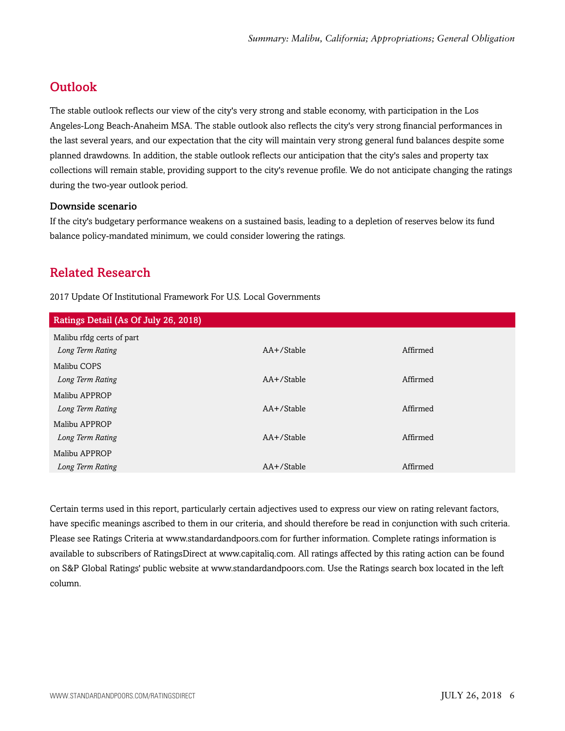# <span id="page-5-0"></span>**Outlook**

The stable outlook reflects our view of the city's very strong and stable economy, with participation in the Los Angeles-Long Beach-Anaheim MSA. The stable outlook also reflects the city's very strong financial performances in the last several years, and our expectation that the city will maintain very strong general fund balances despite some planned drawdowns. In addition, the stable outlook reflects our anticipation that the city's sales and property tax collections will remain stable, providing support to the city's revenue profile. We do not anticipate changing the ratings during the two-year outlook period.

#### Downside scenario

If the city's budgetary performance weakens on a sustained basis, leading to a depletion of reserves below its fund balance policy-mandated minimum, we could consider lowering the ratings.

# <span id="page-5-1"></span>Related Research

2017 Update Of Institutional Framework For U.S. Local Governments

| Ratings Detail (As Of July 26, 2018) |               |          |
|--------------------------------------|---------------|----------|
| Malibu rfdg certs of part            |               |          |
| Long Term Rating                     | AA+/Stable    | Affirmed |
| Malibu COPS                          |               |          |
| Long Term Rating                     | $AA+$ /Stable | Affirmed |
| Malibu APPROP                        |               |          |
| Long Term Rating                     | $AA+$ /Stable | Affirmed |
| Malibu APPROP                        |               |          |
| Long Term Rating                     | $AA+$ /Stable | Affirmed |
| Malibu APPROP                        |               |          |
| Long Term Rating                     | AA+/Stable    | Affirmed |

Certain terms used in this report, particularly certain adjectives used to express our view on rating relevant factors, have specific meanings ascribed to them in our criteria, and should therefore be read in conjunction with such criteria. Please see Ratings Criteria at www.standardandpoors.com for further information. Complete ratings information is available to subscribers of RatingsDirect at www.capitaliq.com. All ratings affected by this rating action can be found on S&P Global Ratings' public website at www.standardandpoors.com. Use the Ratings search box located in the left column.